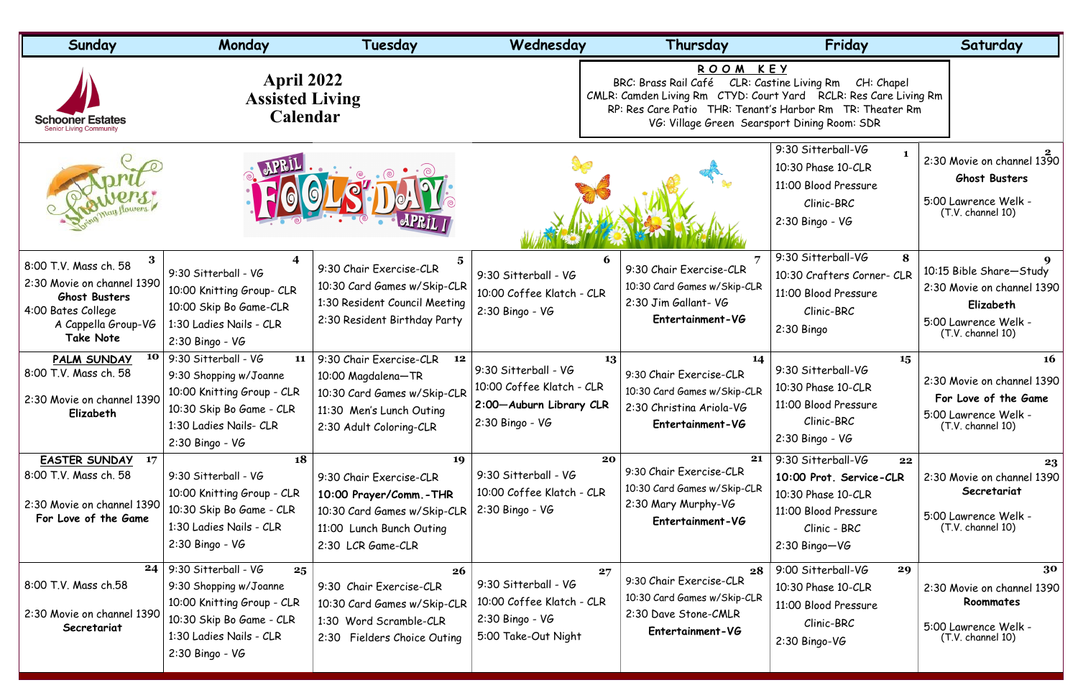| Sunday                                                                                                                                            | Monday                                                                                                                                                         | Tuesday                                                                                                                                   | Wednesday                                                                                                                                                                                                                                                 | Thursday                                                                                                     | Friday                                                                                                                               | Saturday                                                                                                        |
|---------------------------------------------------------------------------------------------------------------------------------------------------|----------------------------------------------------------------------------------------------------------------------------------------------------------------|-------------------------------------------------------------------------------------------------------------------------------------------|-----------------------------------------------------------------------------------------------------------------------------------------------------------------------------------------------------------------------------------------------------------|--------------------------------------------------------------------------------------------------------------|--------------------------------------------------------------------------------------------------------------------------------------|-----------------------------------------------------------------------------------------------------------------|
| <b>Schooner Estates</b><br>Senior Livina Community                                                                                                | <b>April 2022</b><br><b>Assisted Living</b><br><b>Calendar</b>                                                                                                 |                                                                                                                                           | ROOM KEY<br>BRC: Brass Rail Café<br>CLR: Castine Living Rm<br>CH: Chapel<br>CMLR: Camden Living Rm CTYD: Court Yard RCLR: Res Care Living Rm<br>RP: Res Care Patio THR: Tenant's Harbor Rm TR: Theater Rm<br>VG: Village Green Searsport Dining Room: SDR |                                                                                                              |                                                                                                                                      |                                                                                                                 |
|                                                                                                                                                   |                                                                                                                                                                |                                                                                                                                           |                                                                                                                                                                                                                                                           |                                                                                                              | 9:30 Sitterball-VG<br>10:30 Phase 10-CLR<br>11:00 Blood Pressure<br>Clinic-BRC<br>2:30 Bingo - VG                                    | 2:30 Movie on channel 1390<br><b>Ghost Busters</b><br>5:00 Lawrence Welk -<br>(T.V. channel 10)                 |
| 3<br>8:00 T.V. Mass ch. 58<br>2:30 Movie on channel 1390<br><b>Ghost Busters</b><br>4:00 Bates College<br>A Cappella Group-VG<br><b>Take Note</b> | 9:30 Sitterball - VG<br>10:00 Knitting Group- CLR<br>10:00 Skip Bo Game-CLR<br>1:30 Ladies Nails - CLR<br>$2:30$ Bingo - VG                                    | 5<br>9:30 Chair Exercise-CLR<br>10:30 Card Games w/Skip-CLR<br>1:30 Resident Council Meeting<br>2:30 Resident Birthday Party              | 6<br>9:30 Sitterball - VG<br>10:00 Coffee Klatch - CLR<br>2:30 Bingo - VG                                                                                                                                                                                 | 9:30 Chair Exercise-CLR<br>10:30 Card Games w/Skip-CLR<br>2:30 Jim Gallant- VG<br>Entertainment-VG           | 9:30 Sitterball-VG<br>8<br>10:30 Crafters Corner- CLR<br>11:00 Blood Pressure<br>Clinic-BRC<br>$2:30$ Bingo                          | 10:15 Bible Share-Study<br>2:30 Movie on channel 1390<br>Elizabeth<br>5:00 Lawrence Welk -<br>(T.V. channel 10) |
| 10<br><b>PALM SUNDAY</b><br>8:00 T.V. Mass ch. 58<br>2:30 Movie on channel 1390<br>Elizabeth                                                      | 9:30 Sitterball - VG<br>11<br>9:30 Shopping w/Joanne<br>10:00 Knitting Group - CLR<br>10:30 Skip Bo Game - CLR<br>1:30 Ladies Nails- CLR<br>$2:30$ Bingo - VG  | 9:30 Chair Exercise-CLR<br>12<br>10:00 Magdalena-TR<br>10:30 Card Games w/Skip-CLR<br>11:30 Men's Lunch Outing<br>2:30 Adult Coloring-CLR | 13<br>9:30 Sitterball - VG<br>10:00 Coffee Klatch - CLR<br>2:00-Auburn Library CLR<br>$2:30$ Bingo - VG                                                                                                                                                   | 14<br>9:30 Chair Exercise-CLR<br>10:30 Card Games w/Skip-CLR<br>2:30 Christina Ariola-VG<br>Entertainment-VG | 15<br>9:30 Sitterball-VG<br>10:30 Phase 10-CLR<br>11:00 Blood Pressure<br>Clinic-BRC<br>$2:30$ Bingo - VG                            | <b>16</b><br>2:30 Movie on channel 1390<br>For Love of the Game<br>5:00 Lawrence Welk -<br>(T.V. channel 10)    |
| <b>EASTER SUNDAY</b><br>17<br>8:00 T.V. Mass ch. 58<br>2:30 Movie on channel 1390<br>For Love of the Game                                         | 18<br>9:30 Sitterball - VG<br>10:00 Knitting Group - CLR<br>10:30 Skip Bo Game - CLR<br>1:30 Ladies Nails - CLR<br>$2:30$ Bingo - VG                           | 19<br>9:30 Chair Exercise-CLR<br>10:00 Prayer/Comm. - THR<br>10:30 Card Games w/Skip-CLR<br>11:00 Lunch Bunch Outing<br>2:30 LCR Game-CLR | 20<br>9:30 Sitterball - VG<br>10:00 Coffee Klatch - CLR<br>2:30 Bingo - VG                                                                                                                                                                                | 21<br>9:30 Chair Exercise-CLR<br>10:30 Card Games w/Skip-CLR<br>2:30 Mary Murphy-VG<br>Entertainment-VG      | 9:30 Sitterball-VG<br>22<br>10:00 Prot. Service-CLR<br>10:30 Phase 10-CLR<br>11:00 Blood Pressure<br>Clinic - BRC<br>$2:30$ Bingo-VG | 23<br>2:30 Movie on channel 1390<br>Secretariat<br>5:00 Lawrence Welk -<br>(T.V. channel 10)                    |
| 24<br>8:00 T.V. Mass ch.58<br>2:30 Movie on channel 1390<br>Secretariat                                                                           | 9:30 Sitterball - VG<br>25<br>9:30 Shopping w/Joanne<br>10:00 Knitting Group - CLR<br>10:30 Skip Bo Game - CLR<br>1:30 Ladies Nails - CLR<br>$2:30$ Bingo - VG | 26<br>9:30 Chair Exercise-CLR<br>10:30 Card Games w/Skip-CLR<br>1:30 Word Scramble-CLR<br>2:30 Fielders Choice Outing                     | 27<br>$9:30$ Sitterball - VG<br>10:00 Coffee Klatch - CLR<br>$2:30$ Bingo - VG<br>5:00 Take-Out Night                                                                                                                                                     | 28<br>9:30 Chair Exercise-CLR<br>10:30 Card Games w/Skip-CLR<br>2:30 Dave Stone-CMLR<br>Entertainment-VG     | 9:00 Sitterball-VG<br>29<br>10:30 Phase 10-CLR<br>11:00 Blood Pressure<br>Clinic-BRC<br>$2:30$ Bingo-VG                              | 30<br>2:30 Movie on channel 1390<br>Roommates<br>5:00 Lawrence Welk -<br>(T.V. channel 10)                      |